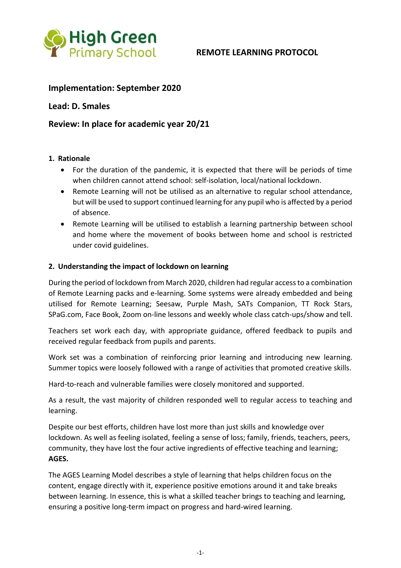

# **REMOTE LEARNING PROTOCOL**

## **Implementation: September 2020**

### **Lead: D. Smales**

# **Review: In place for academic year 20/21**

#### **1. Rationale**

- For the duration of the pandemic, it is expected that there will be periods of time when children cannot attend school: self-isolation, local/national lockdown.
- Remote Learning will not be utilised as an alternative to regular school attendance, but will be used to support continued learning for any pupil who is affected by a period of absence.
- Remote Learning will be utilised to establish a learning partnership between school and home where the movement of books between home and school is restricted under covid guidelines.

#### **2. Understanding the impact of lockdown on learning**

During the period of lockdown from March 2020, children had regular access to a combination of Remote Learning packs and e-learning. Some systems were already embedded and being utilised for Remote Learning; Seesaw, Purple Mash, SATs Companion, TT Rock Stars, SPaG.com, Face Book, Zoom on-line lessons and weekly whole class catch-ups/show and tell.

Teachers set work each day, with appropriate guidance, offered feedback to pupils and received regular feedback from pupils and parents.

Work set was a combination of reinforcing prior learning and introducing new learning. Summer topics were loosely followed with a range of activities that promoted creative skills.

Hard-to-reach and vulnerable families were closely monitored and supported.

As a result, the vast majority of children responded well to regular access to teaching and learning.

Despite our best efforts, children have lost more than just skills and knowledge over lockdown. As well as feeling isolated, feeling a sense of loss; family, friends, teachers, peers, community, they have lost the four active ingredients of effective teaching and learning; **AGES.**

The AGES Learning Model describes a style of learning that helps children focus on the content, engage directly with it, experience positive emotions around it and take breaks between learning. In essence, this is what a skilled teacher brings to teaching and learning, ensuring a positive long-term impact on progress and hard-wired learning.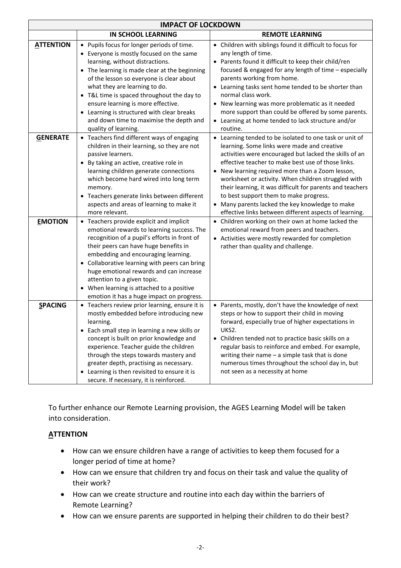| <b>IMPACT OF LOCKDOWN</b> |                                                                                                                                                                                                                                                                                                                                                                                                                                                                                                |                                                                                                                                                                                                                                                                                                                                                                                                                                                                                                                                                       |
|---------------------------|------------------------------------------------------------------------------------------------------------------------------------------------------------------------------------------------------------------------------------------------------------------------------------------------------------------------------------------------------------------------------------------------------------------------------------------------------------------------------------------------|-------------------------------------------------------------------------------------------------------------------------------------------------------------------------------------------------------------------------------------------------------------------------------------------------------------------------------------------------------------------------------------------------------------------------------------------------------------------------------------------------------------------------------------------------------|
|                           | <b>IN SCHOOL LEARNING</b>                                                                                                                                                                                                                                                                                                                                                                                                                                                                      | <b>REMOTE LEARNING</b>                                                                                                                                                                                                                                                                                                                                                                                                                                                                                                                                |
| <b>ATTENTION</b>          | Pupils focus for longer periods of time.<br>$\bullet$<br>Everyone is mostly focused on the same<br>learning, without distractions.<br>The learning is made clear at the beginning<br>$\bullet$<br>of the lesson so everyone is clear about<br>what they are learning to do.<br>T&L time is spaced throughout the day to<br>$\bullet$<br>ensure learning is more effective.<br>Learning is structured with clear breaks<br>٠<br>and down time to maximise the depth and<br>quality of learning. | • Children with siblings found it difficult to focus for<br>any length of time.<br>• Parents found it difficult to keep their child/ren<br>focused & engaged for any length of time - especially<br>parents working from home.<br>• Learning tasks sent home tended to be shorter than<br>normal class work.<br>• New learning was more problematic as it needed<br>more support than could be offered by some parents.<br>• Learning at home tended to lack structure and/or<br>routine.                                                             |
| <b>GENERATE</b>           | • Teachers find different ways of engaging<br>children in their learning, so they are not<br>passive learners.<br>By taking an active, creative role in<br>learning children generate connections<br>which become hard wired into long term<br>memory.<br>Teachers generate links between different<br>$\bullet$<br>aspects and areas of learning to make it<br>more relevant.                                                                                                                 | • Learning tended to be isolated to one task or unit of<br>learning. Some links were made and creative<br>activities were encouraged but lacked the skills of an<br>effective teacher to make best use of those links.<br>• New learning required more than a Zoom lesson,<br>worksheet or activity. When children struggled with<br>their learning, it was difficult for parents and teachers<br>to best support them to make progress.<br>• Many parents lacked the key knowledge to make<br>effective links between different aspects of learning. |
| <b>EMOTION</b>            | • Teachers provide explicit and implicit<br>emotional rewards to learning success. The<br>recognition of a pupil's efforts in front of<br>their peers can have huge benefits in<br>embedding and encouraging learning.<br>• Collaborative learning with peers can bring<br>huge emotional rewards and can increase<br>attention to a given topic.<br>When learning is attached to a positive<br>emotion it has a huge impact on progress.                                                      | • Children working on their own at home lacked the<br>emotional reward from peers and teachers.<br>• Activities were mostly rewarded for completion<br>rather than quality and challenge.                                                                                                                                                                                                                                                                                                                                                             |
| <b>SPACING</b>            | • Teachers review prior learning, ensure it is<br>mostly embedded before introducing new<br>learning.<br>• Each small step in learning a new skills or<br>concept is built on prior knowledge and<br>experience. Teacher guide the children<br>through the steps towards mastery and<br>greater depth, practising as necessary.<br>• Learning is then revisited to ensure it is<br>secure. If necessary, it is reinforced.                                                                     | • Parents, mostly, don't have the knowledge of next<br>steps or how to support their child in moving<br>forward, especially true of higher expectations in<br>UKS2.<br>• Children tended not to practice basic skills on a<br>regular basis to reinforce and embed. For example,<br>writing their name $-$ a simple task that is done<br>numerous times throughout the school day in, but<br>not seen as a necessity at home                                                                                                                          |

To further enhance our Remote Learning provision, the AGES Learning Model will be taken into consideration.

# **ATTENTION**

- How can we ensure children have a range of activities to keep them focused for a longer period of time at home?
- How can we ensure that children try and focus on their task and value the quality of their work?
- How can we create structure and routine into each day within the barriers of Remote Learning?
- How can we ensure parents are supported in helping their children to do their best?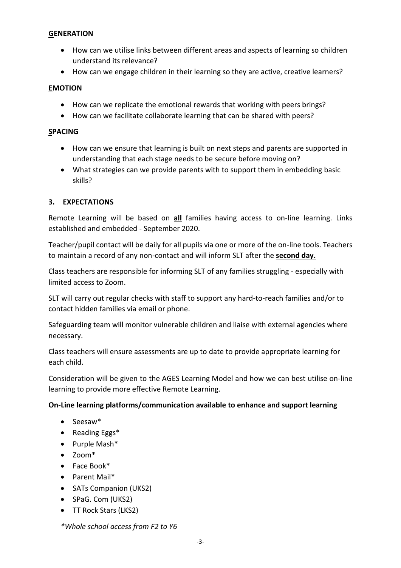### **GENERATION**

- How can we utilise links between different areas and aspects of learning so children understand its relevance?
- How can we engage children in their learning so they are active, creative learners?

### **EMOTION**

- How can we replicate the emotional rewards that working with peers brings?
- How can we facilitate collaborate learning that can be shared with peers?

#### **SPACING**

- How can we ensure that learning is built on next steps and parents are supported in understanding that each stage needs to be secure before moving on?
- What strategies can we provide parents with to support them in embedding basic skills?

## **3. EXPECTATIONS**

Remote Learning will be based on **all** families having access to on-line learning. Links established and embedded - September 2020.

Teacher/pupil contact will be daily for all pupils via one or more of the on-line tools. Teachers to maintain a record of any non-contact and will inform SLT after the **second day.**

Class teachers are responsible for informing SLT of any families struggling - especially with limited access to Zoom.

SLT will carry out regular checks with staff to support any hard-to-reach families and/or to contact hidden families via email or phone.

Safeguarding team will monitor vulnerable children and liaise with external agencies where necessary.

Class teachers will ensure assessments are up to date to provide appropriate learning for each child.

Consideration will be given to the AGES Learning Model and how we can best utilise on-line learning to provide more effective Remote Learning.

## **On-Line learning platforms/communication available to enhance and support learning**

- Seesaw\*
- Reading Eggs\*
- Purple Mash\*
- Zoom\*
- Face Book\*
- Parent Mail\*
- SATs Companion (UKS2)
- SPaG. Com (UKS2)
- TT Rock Stars (LKS2)

*\*Whole school access from F2 to Y6*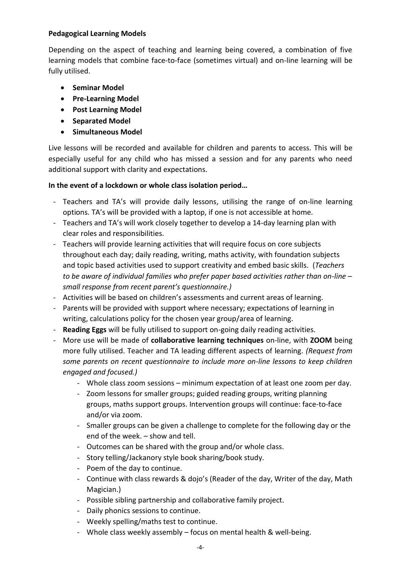## **Pedagogical Learning Models**

Depending on the aspect of teaching and learning being covered, a combination of five learning models that combine face-to-face (sometimes virtual) and on-line learning will be fully utilised.

- **•** Seminar Model
- **Pre-Learning Model**
- **Post Learning Model**
- **•** Separated Model
- **•** Simultaneous Model

Live lessons will be recorded and available for children and parents to access. This will be especially useful for any child who has missed a session and for any parents who need additional support with clarity and expectations.

### **In the event of a lockdown or whole class isolation period…**

- Teachers and TA's will provide daily lessons, utilising the range of on-line learning options. TA's will be provided with a laptop, if one is not accessible at home.
- Teachers and TA's will work closely together to develop a 14-day learning plan with clear roles and responsibilities.
- Teachers will provide learning activities that will require focus on core subjects throughout each day; daily reading, writing, maths activity, with foundation subjects and topic based activities used to support creativity and embed basic skills. (*Teachers to be aware of individual families who prefer paper based activities rather than on-line – small response from recent parent's questionnaire.)*
- Activities will be based on children's assessments and current areas of learning.
- Parents will be provided with support where necessary; expectations of learning in writing, calculations policy for the chosen year group/area of learning.
- **Reading Eggs** will be fully utilised to support on-going daily reading activities.
- More use will be made of **collaborative learning techniques** on-line, with **ZOOM** being more fully utilised. Teacher and TA leading different aspects of learning. *(Request from some parents on recent questionnaire to include more on-line lessons to keep children engaged and focused.)*
	- Whole class zoom sessions minimum expectation of at least one zoom per day.
	- Zoom lessons for smaller groups; guided reading groups, writing planning groups, maths support groups. Intervention groups will continue: face-to-face and/or via zoom.
	- Smaller groups can be given a challenge to complete for the following day or the end of the week. – show and tell.
	- Outcomes can be shared with the group and/or whole class.
	- Story telling/Jackanory style book sharing/book study.
	- Poem of the day to continue.
	- Continue with class rewards & dojo's (Reader of the day, Writer of the day, Math Magician.)
	- Possible sibling partnership and collaborative family project.
	- Daily phonics sessions to continue.
	- Weekly spelling/maths test to continue.
	- Whole class weekly assembly focus on mental health & well-being.